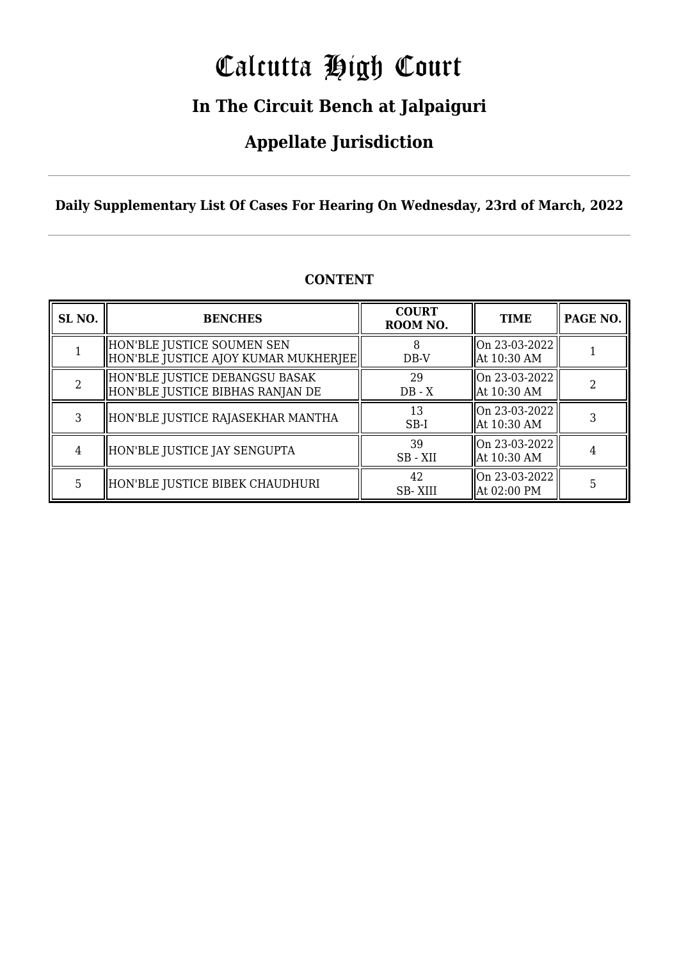# Calcutta High Court

### **In The Circuit Bench at Jalpaiguri**

### **Appellate Jurisdiction**

**Daily Supplementary List Of Cases For Hearing On Wednesday, 23rd of March, 2022**

| SL <sub>NO.</sub> | <b>BENCHES</b>                                                      | <b>COURT</b><br>ROOM NO. | <b>TIME</b>                  | PAGE NO. |
|-------------------|---------------------------------------------------------------------|--------------------------|------------------------------|----------|
|                   | HON'BLE JUSTICE SOUMEN SEN<br> HON'BLE JUSTICE AJOY KUMAR MUKHERJEE | $DB-V$                   | On 23-03-2022<br>At 10:30 AM |          |
|                   | HON'BLE JUSTICE DEBANGSU BASAK<br>HON'BLE JUSTICE BIBHAS RANJAN DE  | 29<br>$DB - X$           | On 23-03-2022<br>At 10:30 AM |          |
| 3                 | HON'BLE JUSTICE RAJASEKHAR MANTHA                                   | 13<br>$SB-I$             | On 23-03-2022<br>At 10:30 AM |          |
| 4                 | HON'BLE JUSTICE JAY SENGUPTA                                        | 39<br>SB - XII           | On 23-03-2022<br>At 10:30 AM |          |
| 5                 | HON'BLE JUSTICE BIBEK CHAUDHURI                                     | 42<br><b>SB-XIII</b>     | On 23-03-2022<br>At 02:00 PM | 5        |

#### **CONTENT**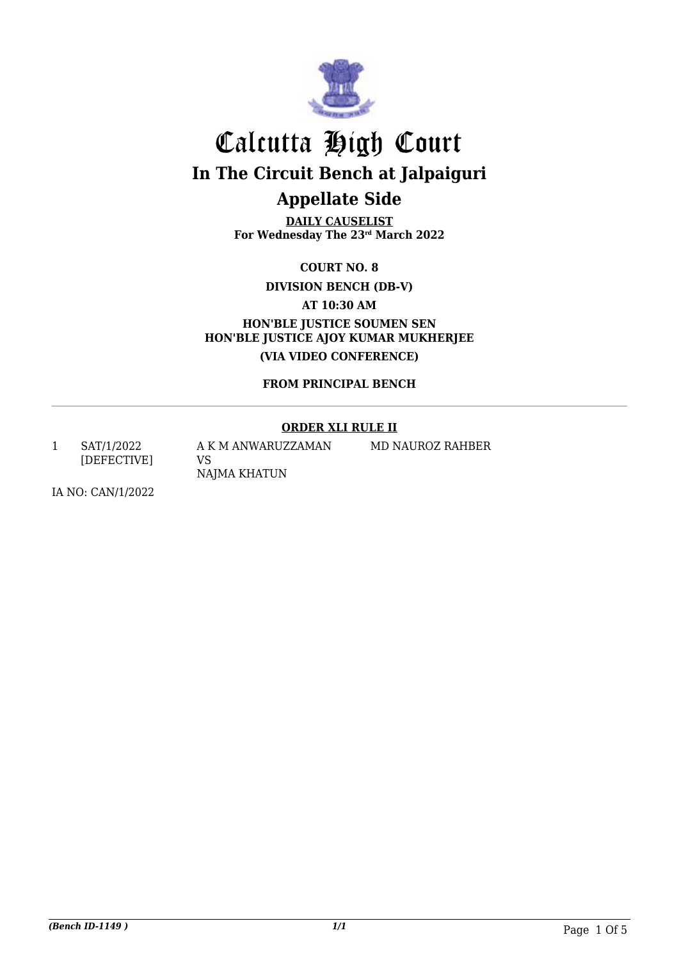

**DAILY CAUSELIST For Wednesday The 23rd March 2022**

**COURT NO. 8**

**DIVISION BENCH (DB-V)**

**AT 10:30 AM**

**HON'BLE JUSTICE SOUMEN SEN HON'BLE JUSTICE AJOY KUMAR MUKHERJEE (VIA VIDEO CONFERENCE)**

**FROM PRINCIPAL BENCH**

#### **ORDER XLI RULE II**

1 SAT/1/2022 [DEFECTIVE] A K M ANWARUZZAMAN VS NAJMA KHATUN

MD NAUROZ RAHBER

IA NO: CAN/1/2022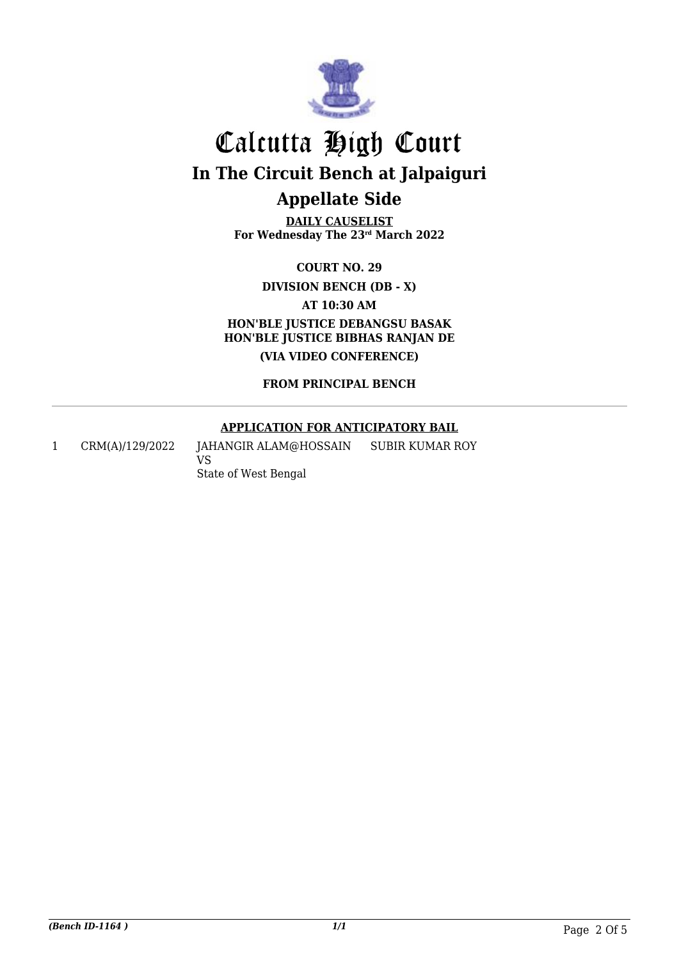

**DAILY CAUSELIST For Wednesday The 23rd March 2022**

**COURT NO. 29**

**DIVISION BENCH (DB - X)**

**AT 10:30 AM**

**HON'BLE JUSTICE DEBANGSU BASAK HON'BLE JUSTICE BIBHAS RANJAN DE (VIA VIDEO CONFERENCE)**

**FROM PRINCIPAL BENCH**

#### **APPLICATION FOR ANTICIPATORY BAIL**

1 CRM(A)/129/2022 JAHANGIR ALAM@HOSSAIN VS State of West Bengal SUBIR KUMAR ROY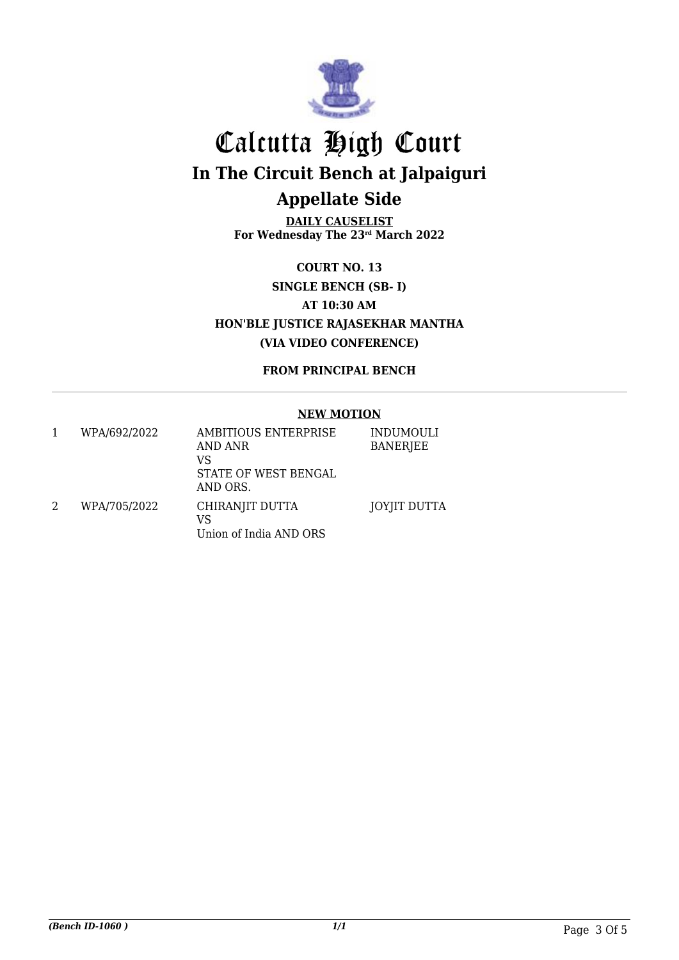

**DAILY CAUSELIST For Wednesday The 23rd March 2022**

**COURT NO. 13 SINGLE BENCH (SB- I) AT 10:30 AM HON'BLE JUSTICE RAJASEKHAR MANTHA (VIA VIDEO CONFERENCE)**

**FROM PRINCIPAL BENCH**

#### **NEW MOTION**

|   | WPA/692/2022 | AMBITIOUS ENTERPRISE<br>AND ANR<br>VS<br>STATE OF WEST BENGAL<br>AND ORS. | INDUMOULI<br><b>BANERJEE</b> |
|---|--------------|---------------------------------------------------------------------------|------------------------------|
| 2 | WPA/705/2022 | CHIRANJIT DUTTA<br>VS<br>Union of India AND ORS                           | <b>JOYJIT DUTTA</b>          |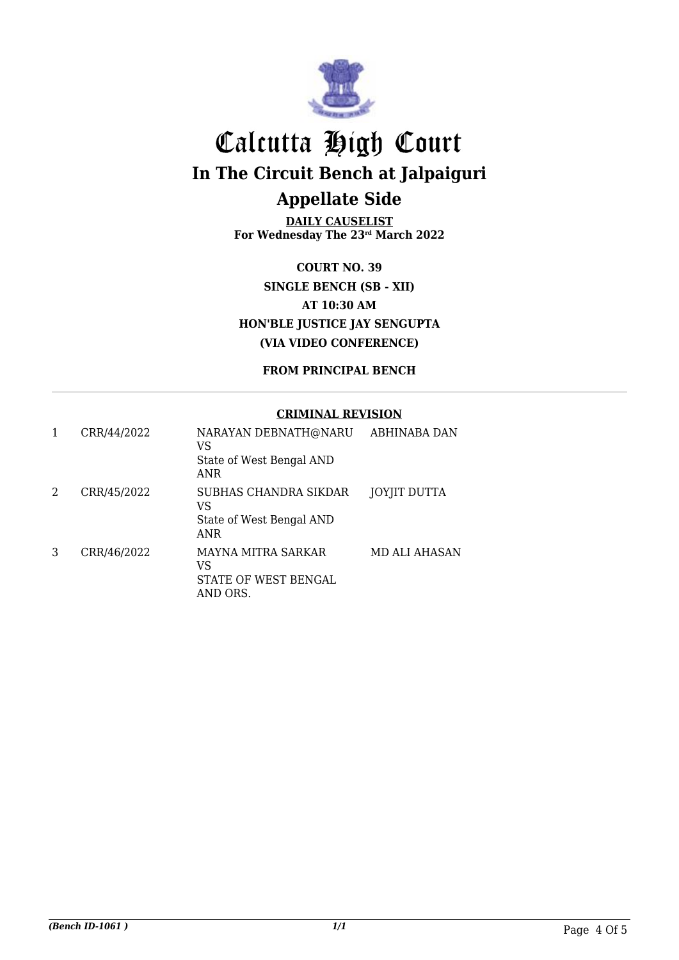

**DAILY CAUSELIST For Wednesday The 23rd March 2022**

**COURT NO. 39 SINGLE BENCH (SB - XII) AT 10:30 AM HON'BLE JUSTICE JAY SENGUPTA (VIA VIDEO CONFERENCE)**

**FROM PRINCIPAL BENCH**

#### **CRIMINAL REVISION**

| 1 | CRR/44/2022 | NARAYAN DEBNATH@NARU<br>VS<br>State of West Bengal AND<br>ANR  | ABHINABA DAN  |
|---|-------------|----------------------------------------------------------------|---------------|
| 2 | CRR/45/2022 | SUBHAS CHANDRA SIKDAR<br>VS<br>State of West Bengal AND<br>ANR | JOYJIT DUTTA  |
| 3 | CRR/46/2022 | MAYNA MITRA SARKAR<br>VS<br>STATE OF WEST BENGAL<br>AND ORS.   | MD ALI AHASAN |